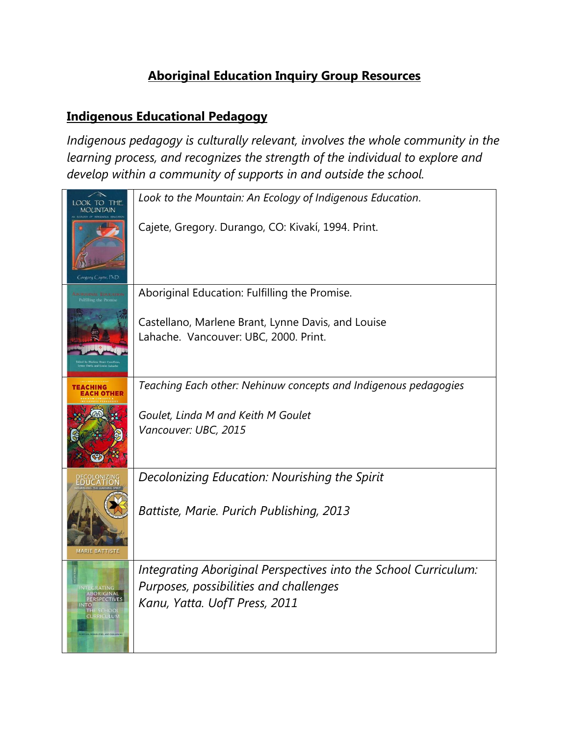## **Aboriginal Education Inquiry Group Resources**

### **Indigenous Educational Pedagogy**

*Indigenous pedagogy is culturally relevant, involves the whole community in the learning process, and recognizes the strength of the individual to explore and develop within a community of supports in and outside the school.* 

|                                              | Look to the Mountain: An Ecology of Indigenous Education.                                                 |
|----------------------------------------------|-----------------------------------------------------------------------------------------------------------|
| Gregory Cajete, Ph.D                         | Cajete, Gregory. Durango, CO: Kivakí, 1994. Print.                                                        |
| Fulfilling the Pro                           | Aboriginal Education: Fulfilling the Promise.                                                             |
|                                              | Castellano, Marlene Brant, Lynne Davis, and Louise<br>Lahache. Vancouver: UBC, 2000. Print.               |
| TEACHING                                     | Teaching Each other: Nehinuw concepts and Indigenous pedagogies                                           |
|                                              | Goulet, Linda M and Keith M Goulet<br>Vancouver: UBC, 2015                                                |
| <b><i>DECOLONIZING</i></b>                   | Decolonizing Education: Nourishing the Spirit                                                             |
| <b>MARIE BATTISTE</b>                        | Battiste, Marie. Purich Publishing, 2013                                                                  |
|                                              | Integrating Aboriginal Perspectives into the School Curriculum:<br>Purposes, possibilities and challenges |
| NTEGRATING<br>ABORIGINAL<br><b>URRICULUM</b> | Kanu, Yatta. UofT Press, 2011                                                                             |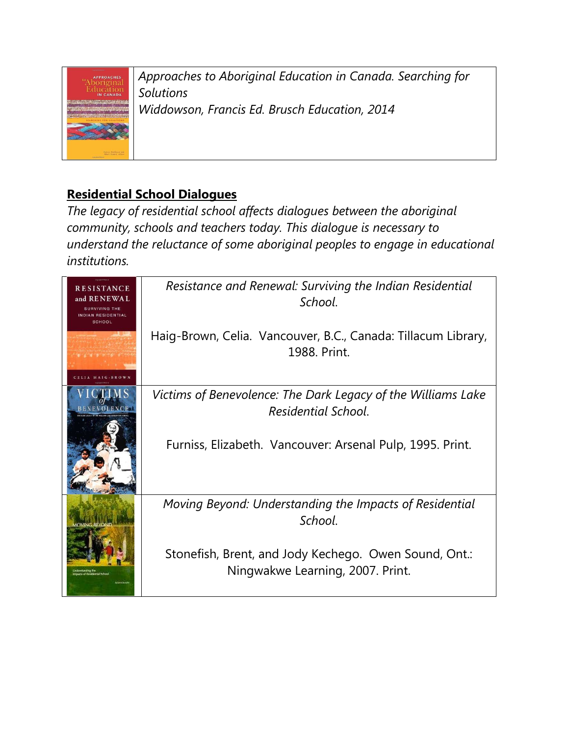

*Approaches to Aboriginal Education in Canada. Searching for Solutions Widdowson, Francis Ed. Brusch Education, 2014* 

## **Residential School Dialogues**

*The legacy of residential school affects dialogues between the aboriginal community, schools and teachers today. This dialogue is necessary to understand the reluctance of some aboriginal peoples to engage in educational institutions.*

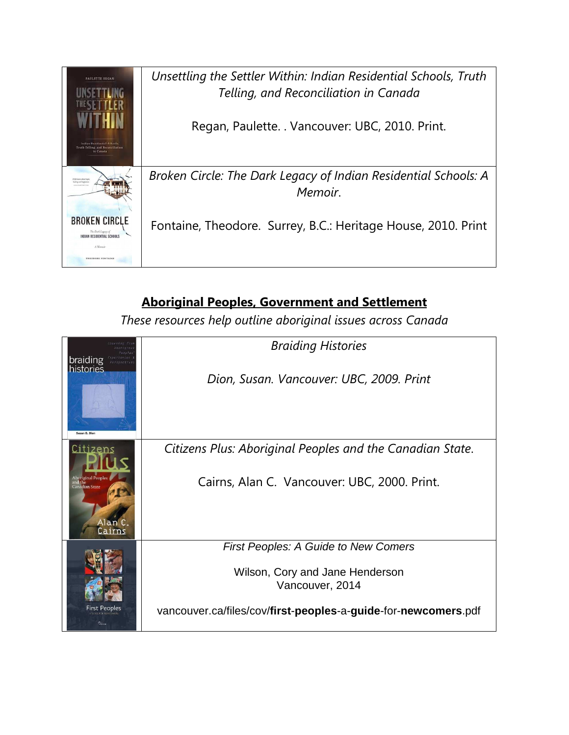

# **Aboriginal Peoples, Government and Settlement**

*These resources help outline aboriginal issues across Canada* 

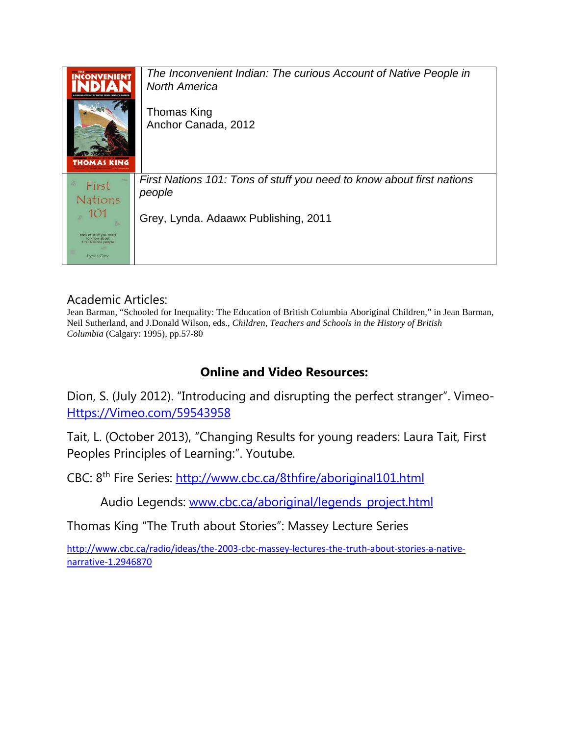| <b>CONVENIEN1</b><br>COUNT OF NATIVE PEOPLE IN NORT<br><b>THOMAS KING</b>                                            | The Inconvenient Indian: The curious Account of Native People in<br><b>North America</b><br>Thomas King<br>Anchor Canada, 2012 |
|----------------------------------------------------------------------------------------------------------------------|--------------------------------------------------------------------------------------------------------------------------------|
| z<br>First<br>Nations<br>101<br>tons of stuff you need<br>to know about<br><b>First Nations people</b><br>Lynda Gray | First Nations 101: Tons of stuff you need to know about first nations<br>people<br>Grey, Lynda. Adaawx Publishing, 2011        |

### Academic Articles:

Jean Barman, "Schooled for Inequality: The Education of British Columbia Aboriginal Children," in Jean Barman, Neil Sutherland, and J.Donald Wilson, eds., *Children, Teachers and Schools in the History of British Columbia* (Calgary: 1995), pp.57-80

## **Online and Video Resources:**

Dion, S. (July 2012). "Introducing and disrupting the perfect stranger". Vimeo-Https://Vimeo.com/59543958

Tait, L. (October 2013), "Changing Results for young readers: Laura Tait, First Peoples Principles of Learning:". Youtube.

CBC: 8th Fire Series: http://www.cbc.ca/8thfire/aboriginal101.html

Audio Legends: www.cbc.ca/aboriginal/legends\_project.html

Thomas King "The Truth about Stories": Massey Lecture Series

http://www.cbc.ca/radio/ideas/the-2003-cbc-massey-lectures-the-truth-about-stories-a-nativenarrative-1.2946870